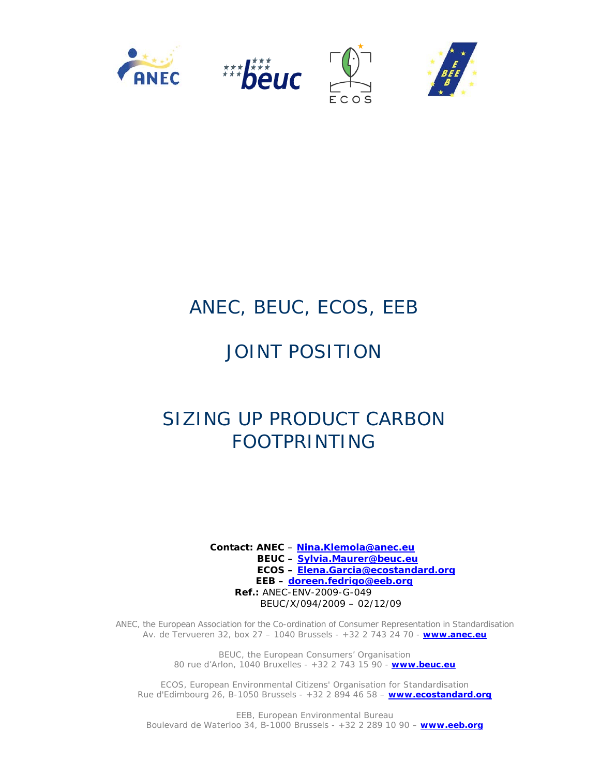

# ANEC, BEUC, ECOS, EEB

# JOINT POSITION

# SIZING UP PRODUCT CARBON FOOTPRINTING

 **Contact: ANEC** – **Nina.Klemola@anec.eu BEUC – Sylvia.Maurer@beuc.eu ECOS – Elena.Garcia@ecostandard.org EEB – doreen.fedrigo@eeb.org Ref.:** ANEC-ENV-2009-G-049 BEUC/X/094/2009 – 02/12/09

ANEC, the European Association for the Co-ordination of Consumer Representation in Standardisation Av. de Tervueren 32, box 27 – 1040 Brussels - +32 2 743 24 70 - **www.anec.eu**

> BEUC, the European Consumers' Organisation 80 rue d'Arlon, 1040 Bruxelles - +32 2 743 15 90 - **www.beuc.eu**

ECOS, European Environmental Citizens' Organisation for Standardisation Rue d'Edimbourg 26, B-1050 Brussels - +32 2 894 46 58 – **www.ecostandard.org**

EEB, European Environmental Bureau Boulevard de Waterloo 34, B-1000 Brussels - +32 2 289 10 90 – **www.eeb.org**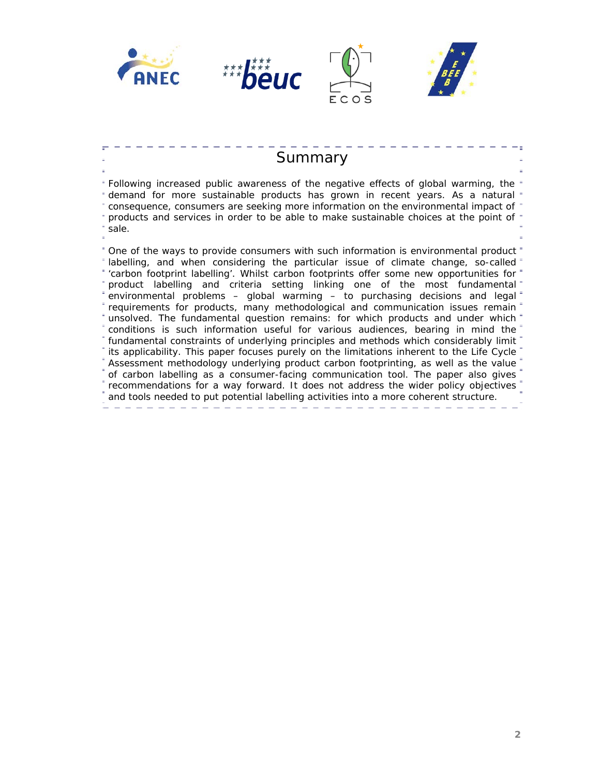







# **Summary**

Following increased public awareness of the negative effects of global warming, the demand for more sustainable products has grown in recent years. As a natural consequence, consumers are seeking more information on the environmental impact of products and services in order to be able to make sustainable choices at the point of sale.

One of the ways to provide consumers with such information is environmental product labelling, and when considering the particular issue of climate change, so-called 'carbon footprint labelling'. Whilst carbon footprints offer some new opportunities for product labelling and criteria setting linking one of the most fundamental environmental problems – global warming – to purchasing decisions and legal requirements for products, many methodological and communication issues remain unsolved. The fundamental question remains: for which products and under which conditions is such information useful for various audiences, bearing in mind the fundamental constraints of underlying principles and methods which considerably limit its applicability. This paper focuses purely on the limitations inherent to the Life Cycle Assessment methodology underlying product carbon footprinting, as well as the value of carbon labelling as a consumer-facing communication tool. The paper also gives recommendations for a way forward. It does not address the wider policy objectives and tools needed to put potential labelling activities into a more coherent structure.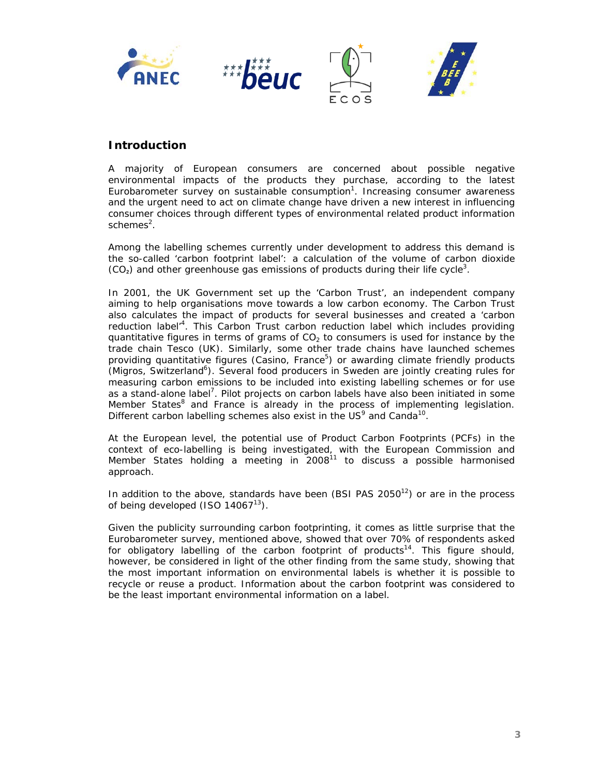

# **Introduction**

A majority of European consumers are concerned about possible negative environmental impacts of the products they purchase, according to the latest Eurobarometer survey on sustainable consumption<sup>1</sup>. Increasing consumer awareness and the urgent need to act on climate change have driven a new interest in influencing consumer choices through different types of environmental related product information schemes<sup>2</sup>.

Among the labelling schemes currently under development to address this demand is the so-called 'carbon footprint label': a calculation of the volume of carbon dioxide  $(CO<sub>2</sub>)$  and other greenhouse gas emissions of products during their life cycle<sup>3</sup>.

In 2001, the UK Government set up the 'Carbon Trust', an independent company aiming to help organisations move towards a low carbon economy. The Carbon Trust also calculates the impact of products for several businesses and created a 'carbon reduction label<sup>4</sup>. This Carbon Trust carbon reduction label which includes providing quantitative figures in terms of grams of  $CO<sub>2</sub>$  to consumers is used for instance by the trade chain Tesco (UK). Similarly, some other trade chains have launched schemes providing quantitative figures (Casino, France<sup>5</sup>) or awarding climate friendly products (Migros, Switzerland<sup>6</sup>). Several food producers in Sweden are jointly creating rules for measuring carbon emissions to be included into existing labelling schemes or for use as a stand-alone label<sup>7</sup>. Pilot projects on carbon labels have also been initiated in some Member States<sup>8</sup> and France is already in the process of implementing legislation. Different carbon labelling schemes also exist in the  $US^9$  and Canda<sup>10</sup>.

At the European level, the potential use of Product Carbon Footprints (PCFs) in the context of eco-labelling is being investigated, with the European Commission and Member States holding a meeting in 2008<sup>11</sup> to discuss a possible harmonised approach.

In addition to the above, standards have been (BSI PAS  $2050<sup>12</sup>$ ) or are in the process of being developed (ISO  $14067^{13}$ ).

Given the publicity surrounding carbon footprinting, it comes as little surprise that the Eurobarometer survey, mentioned above, showed that over 70% of respondents asked for obligatory labelling of the carbon footprint of products<sup>14</sup>. This figure should, however, be considered in light of the other finding from the same study, showing that the most important information on environmental labels is whether it is possible to recycle or reuse a product. Information about the carbon footprint was considered to be *the least important* environmental information on a label.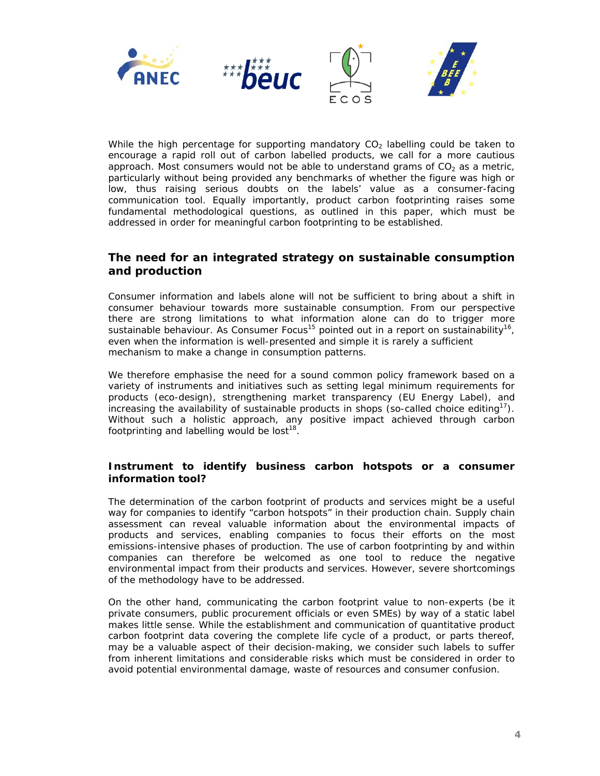

While the high percentage for supporting mandatory  $CO<sub>2</sub>$  labelling could be taken to encourage a rapid roll out of carbon labelled products, we call for a more cautious approach. Most consumers would not be able to understand grams of  $CO<sub>2</sub>$  as a metric, particularly without being provided any benchmarks of whether the figure was high or low, thus raising serious doubts on the labels' value as a consumer-facing communication tool. Equally importantly, product carbon footprinting raises some fundamental methodological questions, as outlined in this paper, which must be addressed in order for meaningful carbon footprinting to be established.

## **The need for an integrated strategy on sustainable consumption and production**

Consumer information and labels alone will not be sufficient to bring about a shift in consumer behaviour towards more sustainable consumption. From our perspective there are strong limitations to what information alone can do to trigger more sustainable behaviour. As Consumer Focus<sup>15</sup> pointed out in a report on sustainability<sup>16</sup>, *even when the information is well-presented and simple it is rarely a sufficient mechanism to make a change in consumption patterns*.

We therefore emphasise the need for a sound common policy framework based on a variety of instruments and initiatives such as setting legal minimum requirements for products (eco-design), strengthening market transparency (EU Energy Label), and increasing the availability of sustainable products in shops (so-called choice editing<sup>17</sup>). Without such a holistic approach, any positive impact achieved through carbon footprinting and labelling would be lost $18$ .

#### **Instrument to identify business carbon hotspots or a consumer information tool?**

The determination of the carbon footprint of products and services might be a useful way for companies to identify "carbon hotspots" in their production chain. Supply chain assessment can reveal valuable information about the environmental impacts of products and services, enabling companies to focus their efforts on the most emissions-intensive phases of production. The use of carbon footprinting by and within companies can therefore be welcomed as one tool to reduce the negative environmental impact from their products and services. However, severe shortcomings of the methodology have to be addressed.

On the other hand, communicating the carbon footprint value to non-experts (be it private consumers, public procurement officials or even SMEs) by way of a static label makes little sense. While the establishment and communication of quantitative product carbon footprint data covering the complete life cycle of a product, or parts thereof, may be a valuable aspect of their decision-making, we consider such labels to suffer from inherent limitations and considerable risks which must be considered in order to avoid potential environmental damage, waste of resources and consumer confusion.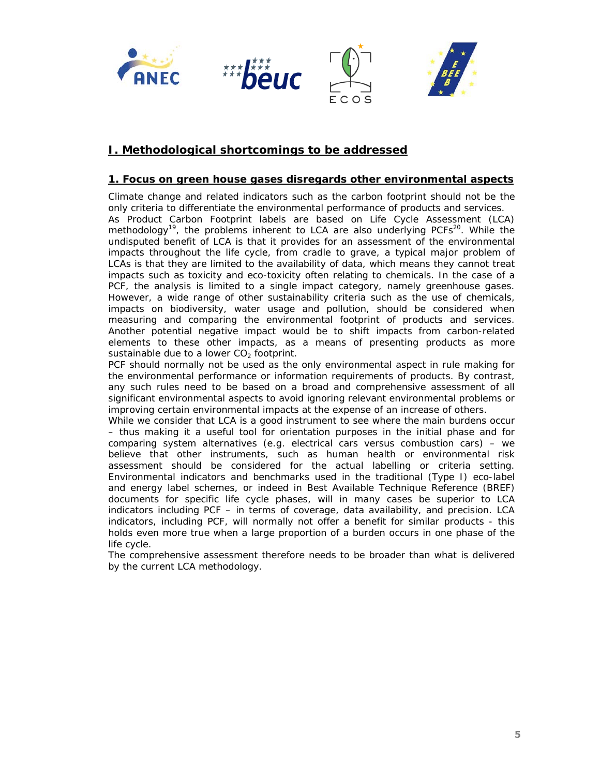

# **I. Methodological shortcomings to be addressed**

#### **1. Focus on green house gases disregards other environmental aspects**

Climate change and related indicators such as the carbon footprint should not be the only criteria to differentiate the environmental performance of products and services. As Product Carbon Footprint labels are based on Life Cycle Assessment (LCA) methodology<sup>19</sup>, the problems inherent to LCA are also underlying PCFs<sup>20</sup>. While the undisputed benefit of LCA is that it provides for an assessment of the environmental impacts throughout the life cycle, from cradle to grave, a typical major problem of LCAs is that they are limited to the availability of data, which means they cannot treat impacts such as toxicity and eco-toxicity often relating to chemicals. In the case of a PCF, the analysis is limited to a single impact category, namely greenhouse gases. However, a wide range of other sustainability criteria such as the use of chemicals, impacts on biodiversity, water usage and pollution, should be considered when measuring and comparing the environmental footprint of products and services. Another potential negative impact would be to shift impacts from carbon-related elements to these other impacts, as a means of presenting products as more sustainable due to a lower  $CO<sub>2</sub>$  footprint.

PCF should normally not be used as the only environmental aspect in rule making for the environmental performance or information requirements of products. By contrast, any such rules need to be based on a broad and comprehensive assessment of all significant environmental aspects to avoid ignoring relevant environmental problems or improving certain environmental impacts at the expense of an increase of others.

While we consider that LCA is a good instrument to see where the main burdens occur – thus making it a useful tool for orientation purposes in the initial phase and for comparing system alternatives (e.g. electrical cars versus combustion cars) – we believe that other instruments, such as human health or environmental risk assessment should be considered for the actual labelling or criteria setting. Environmental indicators and benchmarks used in the traditional (Type I) eco-label and energy label schemes, or indeed in Best Available Technique Reference (BREF) documents for specific life cycle phases, will in many cases be superior to LCA indicators including PCF – in terms of coverage, data availability, and precision. LCA indicators, including PCF, will normally not offer a benefit for similar products - this holds even more true when a large proportion of a burden occurs in one phase of the life cycle.

The comprehensive assessment therefore needs to be broader than what is delivered by the current LCA methodology.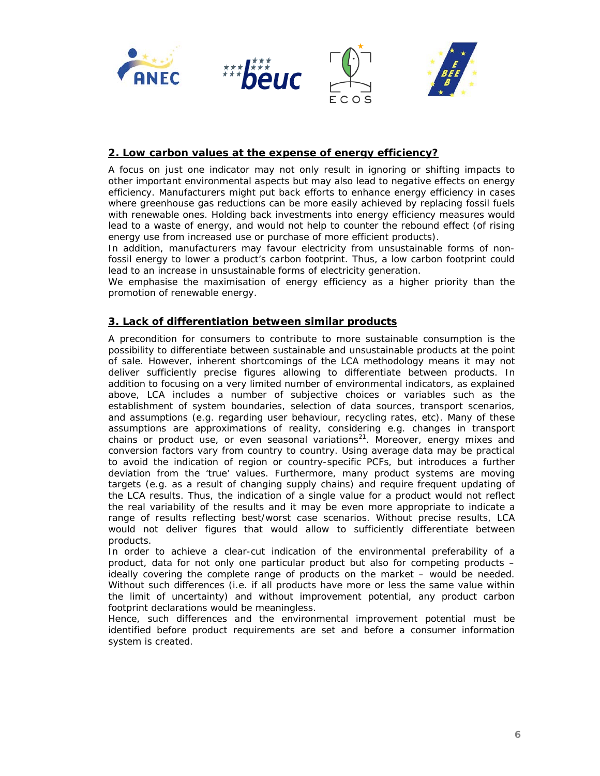

#### **2. Low carbon values at the expense of energy efficiency?**

A focus on just one indicator may not only result in ignoring or shifting impacts to other important environmental aspects but may also lead to negative effects on energy efficiency. Manufacturers might put back efforts to enhance energy efficiency in cases where greenhouse gas reductions can be more easily achieved by replacing fossil fuels with renewable ones. Holding back investments into energy efficiency measures would lead to a waste of energy, and would not help to counter the rebound effect (of rising energy use from increased use or purchase of more efficient products).

In addition, manufacturers may favour electricity from unsustainable forms of nonfossil energy to lower a product's carbon footprint. Thus, a low carbon footprint could lead to an increase in unsustainable forms of electricity generation.

We emphasise the maximisation of energy efficiency as a higher priority than the promotion of renewable energy.

#### **3. Lack of differentiation between similar products**

A precondition for consumers to contribute to more sustainable consumption is the possibility to differentiate between sustainable and unsustainable products at the point of sale. However, inherent shortcomings of the LCA methodology means it may not deliver sufficiently precise figures allowing to differentiate between products. In addition to focusing on a very limited number of environmental indicators, as explained above, LCA includes a number of subjective choices or variables such as the establishment of system boundaries, selection of data sources, transport scenarios, and assumptions (e.g. regarding user behaviour, recycling rates, etc). Many of these assumptions are approximations of reality, considering e.g. changes in transport chains or product use, or even seasonal variations<sup>21</sup>. Moreover, energy mixes and conversion factors vary from country to country. Using average data may be practical to avoid the indication of region or country-specific PCFs, but introduces a further deviation from the 'true' values. Furthermore, many product systems are moving targets (e.g. as a result of changing supply chains) and require frequent updating of the LCA results. Thus, the indication of a single value for a product would not reflect the real variability of the results and it may be even more appropriate to indicate a range of results reflecting best/worst case scenarios. Without precise results, LCA would not deliver figures that would allow to sufficiently differentiate between products.

In order to achieve a clear-cut indication of the environmental preferability of a product, data for not only one particular product but also for competing products – ideally covering the complete range of products on the market – would be needed. Without such differences (i.e. if all products have more or less the same value within the limit of uncertainty) and without improvement potential, any product carbon footprint declarations would be meaningless.

Hence, such differences and the environmental improvement potential must be identified before product requirements are set and before a consumer information system is created.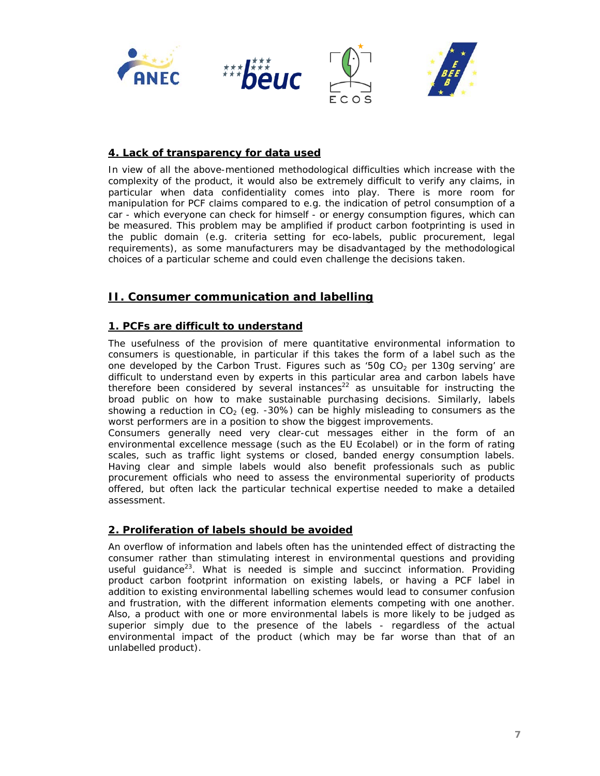

#### **4. Lack of transparency for data used**

In view of all the above-mentioned methodological difficulties which increase with the complexity of the product, it would also be extremely difficult to verify any claims, in particular when data confidentiality comes into play. There is more room for manipulation for PCF claims compared to e.g. the indication of petrol consumption of a car - which everyone can check for himself - or energy consumption figures, which can be measured. This problem may be amplified if product carbon footprinting is used in the public domain (e.g. criteria setting for eco-labels, public procurement, legal requirements), as some manufacturers may be disadvantaged by the methodological choices of a particular scheme and could even challenge the decisions taken.

# **II. Consumer communication and labelling**

#### **1. PCFs are difficult to understand**

The usefulness of the provision of mere quantitative environmental information to consumers is questionable, in particular if this takes the form of a label such as the one developed by the Carbon Trust. Figures such as '50g  $CO<sub>2</sub>$  per 130g serving' are difficult to understand even by experts in this particular area and carbon labels have therefore been considered by several instances<sup>22</sup> as unsuitable for instructing the broad public on how to make sustainable purchasing decisions. Similarly, labels showing a reduction in  $CO<sub>2</sub>$  (eg. -30%) can be highly misleading to consumers as the worst performers are in a position to show the biggest improvements.

Consumers generally need very clear-cut messages either in the form of an environmental excellence message (such as the EU Ecolabel) or in the form of rating scales, such as traffic light systems or closed, banded energy consumption labels. Having clear and simple labels would also benefit professionals such as public procurement officials who need to assess the environmental superiority of products offered, but often lack the particular technical expertise needed to make a detailed assessment.

#### **2. Proliferation of labels should be avoided**

An overflow of information and labels often has the unintended effect of distracting the consumer rather than stimulating interest in environmental questions and providing useful guidance<sup>23</sup>. What is needed is simple and succinct information. Providing product carbon footprint information on existing labels, or having a PCF label in addition to existing environmental labelling schemes would lead to consumer confusion and frustration, with the different information elements competing with one another. Also, a product with one or more environmental labels is more likely to be judged as superior simply due to the presence of the labels - regardless of the actual environmental impact of the product (which may be far worse than that of an unlabelled product).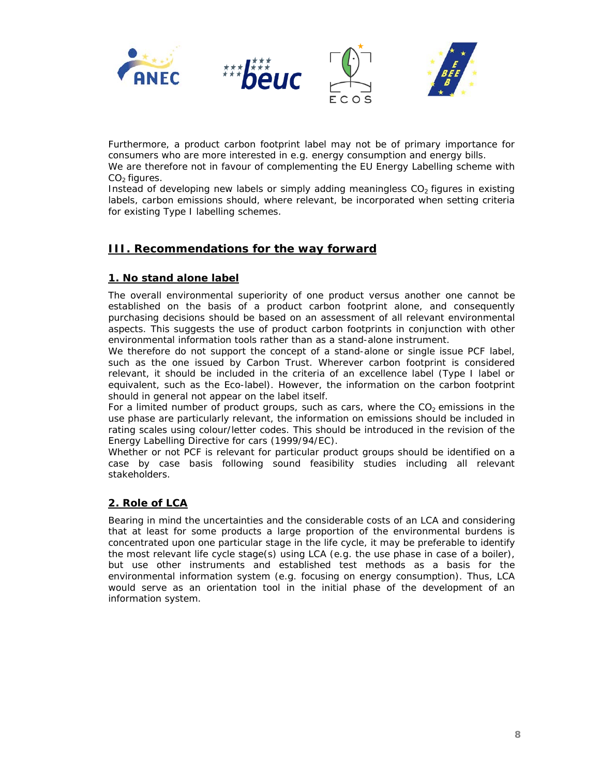

Furthermore, a product carbon footprint label may not be of primary importance for consumers who are more interested in e.g. energy consumption and energy bills.

We are therefore not in favour of complementing the EU Energy Labelling scheme with  $CO<sub>2</sub>$  figures.

Instead of developing new labels or simply adding meaningless  $CO<sub>2</sub>$  figures in existing labels, carbon emissions should, where relevant, be incorporated when setting criteria for existing Type I labelling schemes.

# **III. Recommendations for the way forward**

## **1. No stand alone label**

The overall environmental superiority of one product versus another one cannot be established on the basis of a product carbon footprint alone, and consequently purchasing decisions should be based on an assessment of all relevant environmental aspects. This suggests the use of product carbon footprints in conjunction with other environmental information tools rather than as a stand-alone instrument.

We therefore do not support the concept of a stand-alone or single issue PCF label, such as the one issued by Carbon Trust. Wherever carbon footprint is considered relevant, it should be included in the criteria of an excellence label (Type I label or equivalent, such as the Eco-label). However, the information on the carbon footprint should in general not appear on the label itself.

For a limited number of product groups, such as cars, where the  $CO<sub>2</sub>$  emissions in the use phase are particularly relevant, the information on emissions should be included in rating scales using colour/letter codes. This should be introduced in the revision of the Energy Labelling Directive for cars (1999/94/EC).

Whether or not PCF is relevant for particular product groups should be identified on a case by case basis following sound feasibility studies including all relevant stakeholders.

## **2. Role of LCA**

Bearing in mind the uncertainties and the considerable costs of an LCA and considering that at least for some products a large proportion of the environmental burdens is concentrated upon one particular stage in the life cycle, it may be preferable to identify the most relevant life cycle stage(s) using LCA (e.g. the use phase in case of a boiler), but use other instruments and established test methods as a basis for the environmental information system (e.g. focusing on energy consumption). Thus, LCA would serve as an orientation tool in the initial phase of the development of an information system.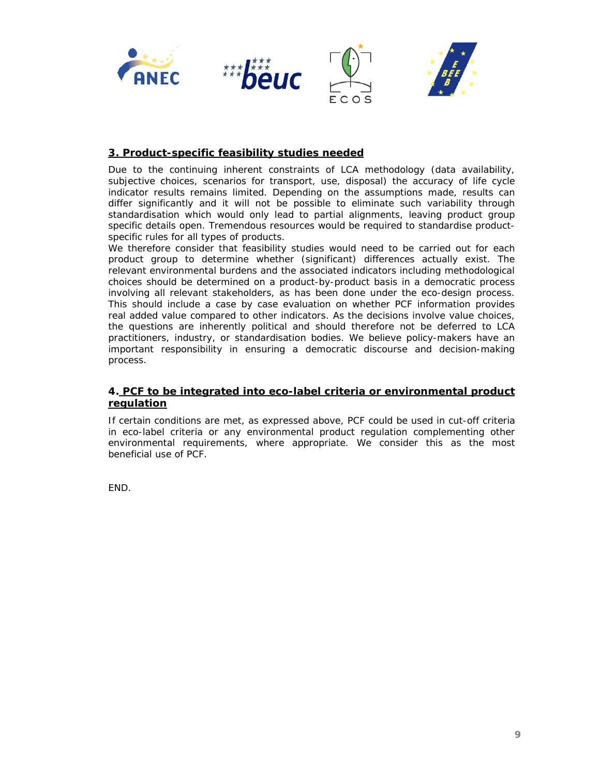

### **3. Product-specific feasibility studies needed**

Due to the continuing inherent constraints of LCA methodology (data availability, subjective choices, scenarios for transport, use, disposal) the accuracy of life cycle indicator results remains limited. Depending on the assumptions made, results can differ significantly and it will not be possible to eliminate such variability through standardisation which would only lead to partial alignments, leaving product group specific details open. Tremendous resources would be required to standardise productspecific rules for all types of products.

We therefore consider that feasibility studies would need to be carried out for each product group to determine whether (significant) differences actually exist. The relevant environmental burdens and the associated indicators including methodological choices should be determined on a product-by-product basis in a democratic process involving all relevant stakeholders, as has been done under the eco-design process. This should include a case by case evaluation on whether PCF information provides real added value compared to other indicators. As the decisions involve value choices, the questions are inherently political and should therefore not be deferred to LCA practitioners, industry, or standardisation bodies. We believe policy-makers have an important responsibility in ensuring a democratic discourse and decision-making process.

#### **4. PCF to be integrated into eco-label criteria or environmental product regulation**

If certain conditions are met, as expressed above, PCF could be used in cut-off criteria in eco-label criteria or any environmental product regulation complementing other environmental requirements, where appropriate. We consider this as the most beneficial use of PCF.

END.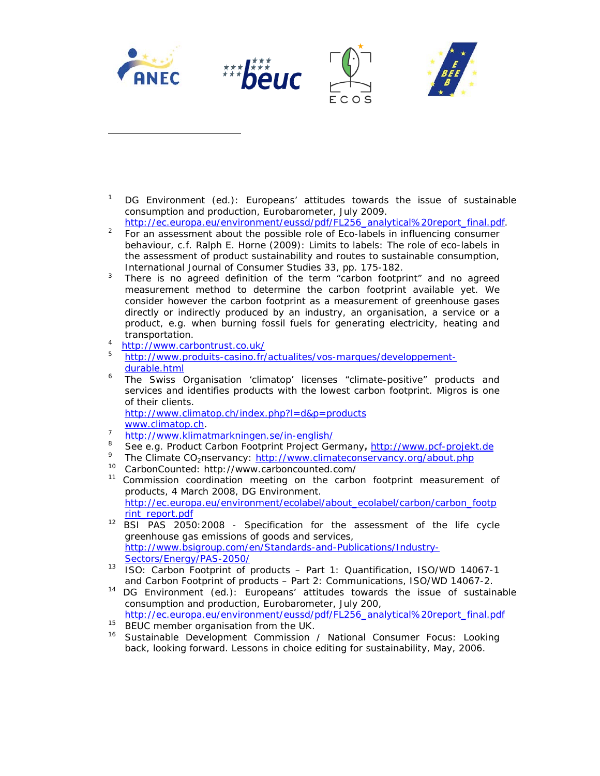

1 DG Environment (ed.): Europeans' attitudes towards the issue of sustainable consumption and production, Eurobarometer, July 2009.

http://ec.europa.eu/environment/eussd/pdf/FL256\_analytical%20report\_final.pdf.

- For an assessment about the possible role of Eco-labels in influencing consumer behaviour, c.f. Ralph E. Horne (2009): *Limits to labels: The role of eco-labels in the assessment of product sustainability and routes to sustainable consumption*, International Journal of Consumer Studies 33, pp. 175-182.
- There is no agreed definition of the term "carbon footprint" and no agreed measurement method to determine the carbon footprint available yet. We consider however the carbon footprint as a measurement of greenhouse gases directly or indirectly produced by an industry, an organisation, a service or a product, e.g. when burning fossil fuels for generating electricity, heating and transportation.<br><sup>4</sup> **bttp://www.carb**
- <sup>4</sup> http://www.carbontrust.co.uk/<br>5 http://www.produits.cosino.fr/

j

- <sup>5</sup> http://www.produits-casino.fr/actualites/vos-marques/developpementdurable.html<br>
<sup>6</sup> The Swiss
- The Swiss Organisation 'climatop' licenses "climate-positive" products and services and identifies products with the lowest carbon footprint. Migros is one of their clients. http://www.climatop.ch/index.php?l=d&p=products

- www.climatop.ch. http://www.klimatmarkningen.se/in-english/
- 8 See e.g. Product Carbon Footprint Project Germany**,** http://www.pcf-projekt.de
- 9
- 
- The Climate CO<sub>2</sub>nservancy:  $\underline{http://www.climateconservancy.org/about.php}_{10}$ <br><sup>10</sup> CarbonCounted: http://www.carboncounted.com/<br><sup>11</sup> Commission coordination meeting on the carbon footprint measurement of products, 4 March 2008, DG Environment. http://ec.europa.eu/environment/ecolabel/about\_ecolabel/carbon/carbon\_footp rint\_report.pdf
- 12 BSI PAS 2050:2008 Specification for the assessment of the life cycle greenhouse gas emissions of goods and services, http://www.bsigroup.com/en/Standards-and-Publications/Industry-Sectors/Energy/PAS-2050/
- 13 ISO: Carbon Footprint of products Part 1: Quantification, ISO/WD 14067-1
- and Carbon Footprint of products Part 2: Communications, ISO/WD 14067-2.<br><sup>14</sup> DG Environment (ed.): Europeans' attitudes towards the issue of sustainable consumption and production, Eurobarometer, July 200, http://ec.europa.eu/environment/eussd/pdf/FL256\_analytical%20report\_final.pdf
- 
- 15 BEUC member organisation from the UK.<br>16 Sustainable Development Commission / National Consumer Focus: Looking back, looking forward. Lessons in choice editing for sustainability, May, 2006.